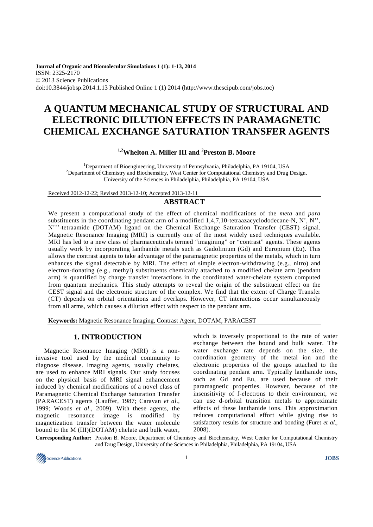**Journal of Organic and Biomolecular Simulations 1 (1): 1-13, 2014**  ISSN: 2325-2170 © 2013 Science Publications doi:10.3844/jobsp.2014.1.13 Published Online 1 (1) 2014 (http://www.thescipub.com/jobs.toc)

# **A QUANTUM MECHANICAL STUDY OF STRUCTURAL AND ELECTRONIC DILUTION EFFECTS IN PARAMAGNETIC CHEMICAL EXCHANGE SATURATION TRANSFER AGENTS**

## **1,2Whelton A. Miller III and <sup>2</sup>Preston B. Moore**

<sup>1</sup>Department of Bioengineering, University of Pennsylvania, Philadelphia, PA 19104, USA <sup>2</sup>Department of Chemistry and Biochemsitry, West Center for Computational Chemistry and Drug Design, University of the Sciences in Philadelphia, Philadelphia, PA 19104, USA

Received 2012-12-22; Revised 2013-12-10; Accepted 2013-12-11

# **ABSTRACT**

We present a computational study of the effect of chemical modifications of the *meta* and *para* substituents in the coordinating pendant arm of a modified 1,4,7,10-tetraazacyclododecane-N, N', N'', N'''-tetraamide (DOTAM) ligand on the Chemical Exchange Saturation Transfer (CEST) signal. Magnetic Resonance Imaging (MRI) is currently one of the most widely used techniques available. MRI has led to a new class of pharmaceuticals termed "imagining" or "contrast" agents. These agents usually work by incorporating lanthanide metals such as Gadolinium (Gd) and Europium (Eu). This allows the contrast agents to take advantage of the paramagnetic properties of the metals, which in turn enhances the signal detectable by MRI. The effect of simple electron-withdrawing (e.g., nitro) and electron-donating (e.g., methyl) substituents chemically attached to a modified chelate arm (pendant arm) is quantified by charge transfer interactions in the coordinated water-chelate system computed from quantum mechanics. This study attempts to reveal the origin of the substituent effect on the CEST signal and the electronic structure of the complex. We find that the extent of Charge Transfer (CT) depends on orbital orientations and overlaps. However, CT interactions occur simultaneously from all arms, which causes a dilution effect with respect to the pendant arm.

**Keywords:** Magnetic Resonance Imaging, Contrast Agent, DOTAM, PARACEST

## **1. INTRODUCTION**

Magnetic Resonance Imaging (MRI) is a noninvasive tool used by the medical community to diagnose disease. Imaging agents, usually chelates, are used to enhance MRI signals. Our study focuses on the physical basis of MRI signal enhancement induced by chemical modifications of a novel class of Paramagnetic Chemical Exchange Saturation Transfer (PARACEST) agents (Lauffer, 1987; Caravan *et al*., 1999; Woods *et al*., 2009). With these agents, the magnetic resonance image is modified by magnetization transfer between the water molecule bound to the M (III)(DOTAM) chelate and bulk water, which is inversely proportional to the rate of water exchange between the bound and bulk water. The water exchange rate depends on the size, the coordination geometry of the metal ion and the electronic properties of the groups attached to the coordinating pendant arm. Typically lanthanide ions, such as Gd and Eu, are used because of their paramagnetic properties. However, because of the insensitivity of f-electrons to their environment, we can use d-orbital transition metals to approximate effects of these lanthanide ions. This approximation reduces computational effort while giving rise to satisfactory results for structure and bonding (Furet *et al*., 2008).

**Corresponding Author:** Preston B. Moore, Department of Chemistry and Biochemsitry, West Center for Computational Chemistry and Drug Design, University of the Sciences in Philadelphia, Philadelphia, PA 19104, USA

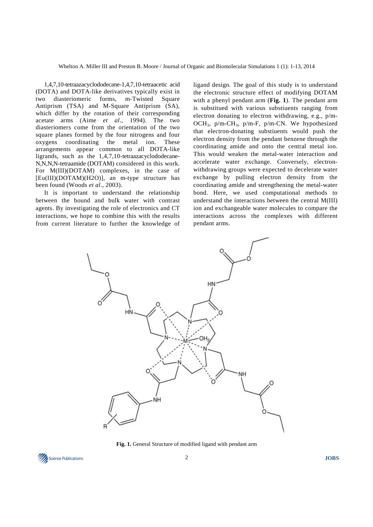1,4,7,10-tetraazacyclododecane-1,4,7,10-tetraacetic acid (DOTA) and DOTA-like derivatives typically exist in two diasteriomeric forms, m-Twisted Square Antiprism (TSA) and M-Square Antiprism (SA), which differ by the rotation of their corresponding acetate arms (Aime *et al*., 1994). The two diasteriomers come from the orientation of the two square planes formed by the four nitrogens and four oxygens coordinating the metal ion. These arrangements appear common to all DOTA-like ligrands, such as the 1,4,7,10-tetraazacyclododecane-N,N,N,N-tetraamide (DOTAM) considered in this work. For M(III)(DOTAM) complexes, in the case of [Eu(III)(DOTAM)(H2O)], an m-type structure has been found (Woods *et al*., 2003).

It is important to understand the relationship between the bound and bulk water with contrast agents. By investigating the role of electronics and CT interactions, we hope to combine this with the results from current literature to further the knowledge of ligand design. The goal of this study is to understand the electronic structure effect of modifying DOTAM with a phenyl pendant arm (**Fig. 1**). The pendant arm is substitued with various substiuents ranging from electron donating to electron withdrawing, e.g., p/m-OCH3, p/m-CH3, p/m-F, p/m-CN. We hypothesized that electron-donating substiuents would push the electron density from the pendant benzene through the coordinating amide and onto the central metal ion. This would weaken the metal-water interaction and accelerate water exchange. Conversely, electronwithdrawing groups were expected to decelerate water exchange by pulling electron density from the coordinating amide and strengthening the metal-water bond. Here, we used computational methods to understand the interactions between the central M(III) ion and exchangeable water molecules to compare the interactions across the complexes with different pendant arms.



**Fig. 1.** General Structure of modified ligand with pendant arm

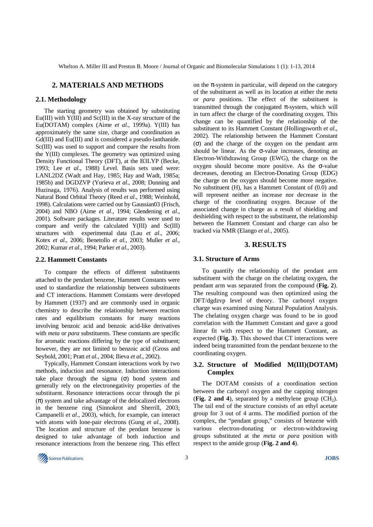# **2. MATERIALS AND METHODS**

#### **2.1. Methodology**

The starting geometry was obtained by substituting Eu(III) with  $Y(III)$  and  $Sc(III)$  in the X-ray structure of the Eu(DOTAM) complex (Aime *et al*., 1999a). Y(III) has approximately the same size, charge and coordination as Gd(III) and Eu(III) and is considered a pseudo-lanthanide. Sc(III) was used to support and compare the results from the Y(III) complexes. The geometry was optimized using Density Functional Theory (DFT), at the B3LYP (Becke, 1993; Lee *et al*., 1988) Level. Basis sets used were: LANL2DZ (Wadt and Hay, 1985; Hay and Wadt, 1985a; 1985b) and DGDZVP (Yurieva *et al*., 2008; Dunning and Huzinaga, 1976). Analysis of results was performed using Natural Bond Orbital Theory (Reed *et al*., 1988; Weinhold, 1998). Calculations were carried out by Gaussian03 (Frisch, 2004) and NBO (Aime *et al*., 1994; Glendening *et al*., 2001). Software packages. Literature results were used to compare and verify the calculated Y(III) and Sc(III) structures with experimental data (Lau *et al*., 2006; Kotex *et al*., 2006; Benetollo *et al*., 2003; Muller *et al*., 2002; Kumar *et al*., 1994; Parker *et al*., 2003).

#### **2.2. Hammett Constants**

To compare the effects of different substituents attached to the pendant benzene, Hammett Constants were used to standardize the relationship between substituents and CT interactions. Hammett Constants were developed by Hammett (1937) and are commonly used in organic chemistry to describe the relationship between reaction rates and equilibrium constants for many reactions involving benzoic acid and benzoic acid-like derivatives with *meta* or *para* substituents. These constants are specific for aromatic reactions differing by the type of substituent; however, they are not limited to benzoic acid (Gross and Seybold, 2001; Pratt *et al*., 2004; Ilieva *et al*., 2002).

Typically, Hammett Constant interactions work by two methods, induction and resonance. Induction interactions take place through the sigma  $(\sigma)$  bond system and generally rely on the electronegativity properties of the substituent. Resonance interactions occur through the pi  $(\pi)$  system and take advantage of the delocalized electrons in the benzene ring (Sinnokrot and Sherrill, 2003; Campanelli *et al*., 2003), which, for example, can interact with atoms with lone-pair electrons (Gung *et al*., 2008). The location and structure of the pendant benzene is designed to take advantage of both induction and resonance interactions from the benzene ring. This effect on the  $\pi$ -system in particular, will depend on the category of the substituent as well as its location at either the *meta* or *para* positions. The effect of the substituent is transmitted through the conjugated  $\pi$ -system, which will in turn affect the charge of the coordinating oxygen. This change can be quantified by the relationship of the substituent to its Hammett Constant (Hollingsworth *et al*., 2002). The relationship between the Hammett Constant (σ) and the charge of the oxygen on the pendant arm should be linear. As the  $\sigma$ -value increases, denoting an Electron-Withdrawing Group (EWG), the charge on the oxygen should become more positive. As the σ-value decreases, denoting an Electron-Donating Group (EDG) the charge on the oxygen should become more negative. No substituent (H), has a Hammett Constant of (0.0) and will represent neither an increase nor decrease in the charge of the coordinating oxygen. Because of the associated change in charge as a result of shielding and deshielding with respect to the substituent, the relationship between the Hammett Constant and charge can also be tracked via NMR (Elango *et al*., 2005).

### **3. RESULTS**

#### **3.1. Structure of Arms**

To quantify the relationship of the pendant arm substituent with the charge on the chelating oxygen, the pendant arm was separated from the compound (**Fig. 2**). The resulting compound was then optimized using the DFT/dgdzvp level of theory. The carbonyl oxygen charge was examined using Natural Population Analysis. The chelating oxygen charge was found to be in good correlation with the Hammett Constant and gave a good linear fit with respect to the Hammett Constant, as expected (**Fig. 3**). This showed that CT interactions were indeed being transmitted from the pendant benzene to the coordinating oxygen.

## **3.2. Structure of Modified M(III)(DOTAM) Complex**

The DOTAM consists of a coordination section between the carbonyl oxygen and the capping nitrogen (**Fig. 2 and 4**), separated by a methylene group  $(CH_2)$ . The tail end of the structure consists of an ethyl acetate group for 3 out of 4 arms. The modified portion of the complex, the "pendant group," consists of benzene with various electron-donating or electron-withdrawing groups substituted at the *meta* or *para* position with respect to the amide group (**Fig. 2 and 4**).

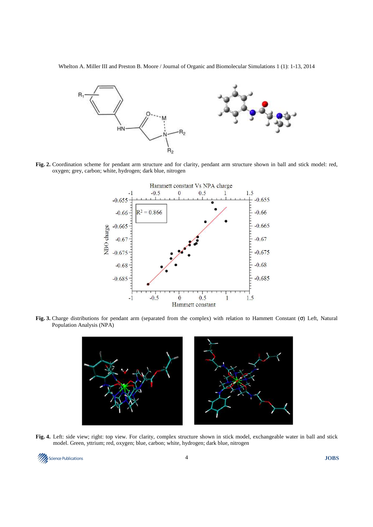

**Fig. 2.** Coordination scheme for pendant arm structure and for clarity, pendant arm structure shown in ball and stick model: red, oxygen; grey, carbon; white, hydrogen; dark blue, nitrogen



**Fig. 3.** Charge distributions for pendant arm (separated from the complex) with relation to Hammett Constant (σ) Left, Natural Population Analysis (NPA)



**Fig. 4.** Left: side view; right: top view. For clarity, complex structure shown in stick model, exchangeable water in ball and stick model. Green, yttrium; red, oxygen; blue, carbon; white, hydrogen; dark blue, nitrogen

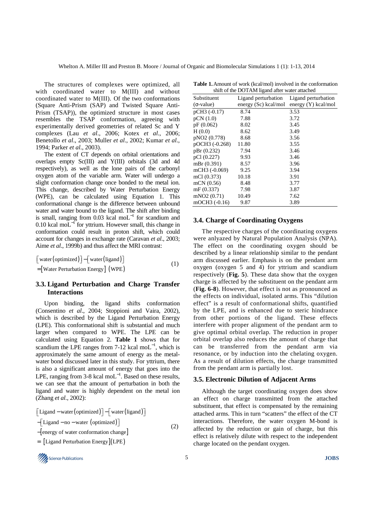The structures of complexes were optimized, all with coordinated water to M(III) and without coordinated water to M(III). Of the two conformations (Square Anti-Prism (SAP) and Twisted Square Anti-Prism (TSAP)), the optimized structure in most cases resembles the TSAP conformation, agreeing with experimentally derived geometries of related Sc and Y complexes (Lau *et al*., 2006; Kotex *et al*., 2006; Benetollo *et al*., 2003; Muller *et al*., 2002; Kumar *et al*., 1994; Parker *et al*., 2003).

The extent of CT depends on orbital orientations and overlaps empty Sc(III) and Y(III) orbitals (3d and 4d respectively), as well as the lone pairs of the carbonyl oxygen atom of the variable arm. Water will undergo a slight conformation change once bonded to the metal ion. This change, described by Water Perturbation Energy (WPE), can be calculated using Equation 1. This conformational change is the difference between unbound water and water bound to the ligand. The shift after binding is small, ranging from 0.03 kcal moL<sup>-1</sup> for scandium and 0.10 kcal moL<sup>-1</sup> for yttrium. However small, this change in conformation could result in proton shift, which could account for changes in exchange rate (Caravan *et al*., 2003; Aime *et al*., 1999b) and thus affect the MRI contrast:

$$
\begin{bmatrix} \text{water}(\text{optimized}) \end{bmatrix} - \begin{bmatrix} \text{water}(\text{ligand}) \end{bmatrix}
$$

$$
= \begin{bmatrix} \text{Water Perturbation Energy} \end{bmatrix} \text{ (WPE)} \tag{1}
$$

## **3.3. Ligand Perturbation and Charge Transfer Interactions**

Upon binding, the ligand shifts conformation (Consentino *et al*., 2004; Stoppioni and Vaira, 2002), which is described by the Ligand Perturbation Energy (LPE). This conformational shift is substantial and much larger when compared to WPE. The LPE can be calculated using Equation 2. **Table 1** shows that for scandium the LPE ranges from  $7-12$  kcal moL<sup>-1</sup>, which is approximately the same amount of energy as the metalwater bond discussed later in this study. For yttrium, there is also a significant amount of energy that goes into the LPE, ranging from 3-8 kcal moL<sup>-1</sup>. Based on these results, we can see that the amount of perturbation in both the ligand and water is highly dependent on the metal ion (Zhang *et al*., 2002):

\n
$$
\begin{bmatrix}\n \text{Ligand} - \text{water}(\text{optimized}) \right] - \left[ \text{water}(\text{ligand}) \right] \\
- \left[ \text{Ligand} - \text{no} - \text{water}(\text{optimized}) \right]\n \end{bmatrix}
$$
\n

\n\n
$$
- \left[ \text{energy of water conformation change} \right]
$$
\n

\n\n
$$
- \left[ \text{I, i, and Perturbation Energy} \right] \left( \text{DE} \right)
$$
\n

= [Ligand Perturbation Energy](LPE)



| shift of the DOTAM ligand after water attached |                                         |                       |  |
|------------------------------------------------|-----------------------------------------|-----------------------|--|
| Substituent                                    | Ligand perturbation Ligand perturbation |                       |  |
| $(\sigma$ -value)                              | energy (Sc) kcal/mol                    | energy $(Y)$ kcal/mol |  |
| $pCH3$ (-0.17)                                 | 8.74                                    | 3.53                  |  |
| pCN(1.0)                                       | 7.88                                    | 3.72                  |  |
| pF(0.062)                                      | 8.02                                    | 3.45                  |  |
| H(0.0)                                         | 8.62                                    | 3.49                  |  |
| pNO2 (0.778)                                   | 8.68                                    | 3.56                  |  |
| pOCH3 (-0.268)                                 | 11.80                                   | 3.55                  |  |
| pBr(0.232)                                     | 7.94                                    | 3.46                  |  |
| pCl (0.227)                                    | 9.93                                    | 3.46                  |  |
| mBr(0.391)                                     | 8.57                                    | 3.96                  |  |
| mCH <sub>3</sub> $(-0.069)$                    | 9.25                                    | 3.94                  |  |
| mCl $(0.373)$                                  | 10.18                                   | 3.91                  |  |
| mCN (0.56)                                     | 8.48                                    | 3.77                  |  |
| mF(0.337)                                      | 7.98                                    | 3.87                  |  |
| mNO2 (0.71)                                    | 10.49                                   | 7.62                  |  |
| mOCH3 (-0.16)                                  | 9.87                                    | 3.89                  |  |

# **Table 1.** Amount of work (kcal/mol) involved in the conformation

#### **3.4. Charge of Coordinating Oxygens**

The respective charges of the coordinating oxygens were anlyazed by Natural Population Analysis (NPA). The effect on the coordinating oxygen should be described by a linear relationship similar to the pendant arm discussed earlier. Emphasis is on the pendant arm oxygen (oxygen 5 and 4) for yttrium and scandium respectively (**Fig. 5**). These data show that the oxygen charge is affected by the substituent on the pendant arm (**Fig. 6-8**). However, that effect is not as pronounced as the effects on individual, isolated arms. This "dilution effect" is a result of conformational shifts, quantified by the LPE, and is enhanced due to steric hindrance from other portions of the ligand. These effects interfere with proper alignment of the pendant arm to give optimal orbital overlap. The reduction in proper orbital overlap also reduces the amount of charge that can be transferred from the pendant arm via resonance, or by induction into the chelating oxygen. As a result of dilution effects, the charge transmitted from the pendant arm is partially lost.

### **3.5. Electronic Dilution of Adjacent Arms**

Although the target coordinating oxygen does show an effect on charge transmitted from the attached substituent, that effect is compensated by the remaining attached arms. This in turn "scatters" the effect of the CT interactions. Therefore, the water oxygen M-bond is affected by the reduction or gain of charge, but this effect is relatively dilute with respect to the independent charge located on the pendant oxygen.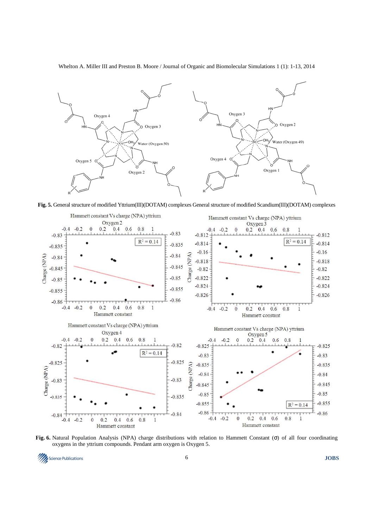

Whelton A. Miller III and Preston B. Moore / Journal of Organic and Biomolecular Simulations 1 (1): 1-13, 2014

**Fig. 5.** General structure of modified Yttrium(III)(DOTAM) complexes General structure of modified Scandium(III)(DOTAM) complexes



**Fig. 6.** Natural Population Analysis (NPA) charge distributions with relation to Hammett Constant (σ) of all four coordinating oxygens in the yttrium compounds. Pendant arm oxygen is Oxygen 5.

**Science Publications 5 JOBS JOBS**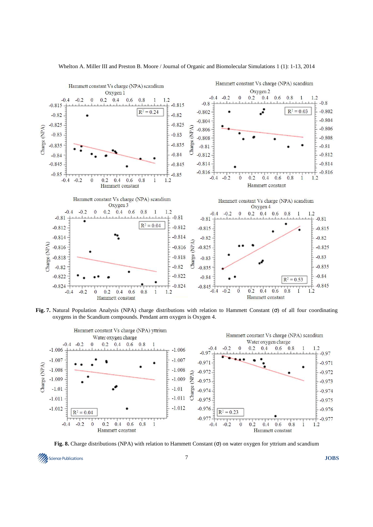

**Fig. 7.** Natural Population Analysis (NPA) charge distributions with relation to Hammett Constant (σ) of all four coordinating oxygens in the Scandium compounds. Pendant arm oxygen is Oxygen 4.



**Fig. 8.** Charge distributions (NPA) with relation to Hammett Constant (σ) on water oxygen for yttrium and scandium

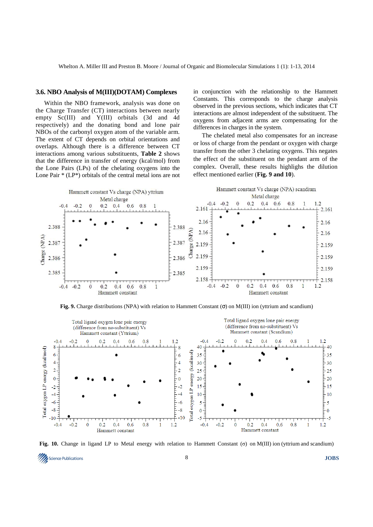### **3.6. NBO Analysis of M(III)(DOTAM) Complexes**

Within the NBO framework, analysis was done on the Charge Transfer (CT) interactions between nearly empty Sc(III) and Y(III) orbitals (3d and 4d respectively) and the donating bond and lone pair NBOs of the carbonyl oxygen atom of the variable arm. The extent of CT depends on orbital orientations and overlaps. Although there is a difference between CT interactions among various substituents, **Table 2** shows that the difference in transfer of energy (kcal/mol) from the Lone Pairs (LPs) of the chelating oxygens into the Lone Pair \* (LP\*) orbitals of the central metal ions are not in conjunction with the relationship to the Hammett Constants. This corresponds to the charge analysis observed in the previous sections, which indicates that CT interactions are almost independent of the substituent. The oxygens from adjacent arms are compensating for the differences in charges in the system.

The chelated metal also compensates for an increase or loss of charge from the pendant or oxygen with charge transfer from the other 3 chelating oxygens. This negates the effect of the substituent on the pendant arm of the complex. Overall, these results highlighs the dilution effect mentioned earlier (**Fig. 9 and 10**).



**Fig. 9.** Charge distributions (NPA) with relation to Hammett Constant (σ) on M(III) ion (yttrium and scandium)



**Fig. 10.** Change in ligand LP to Metal energy with relation to Hammett Constant (σ) on M(III) ion (yttrium and scandium)

**Science Publications S JOBS Science Publications S**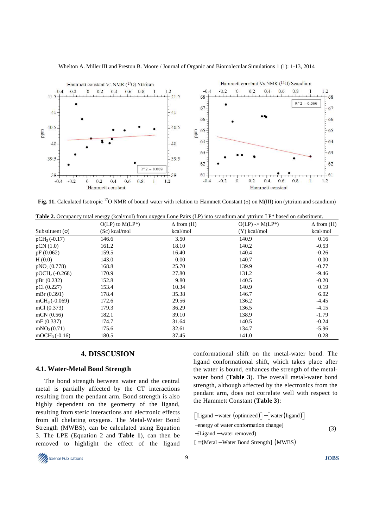

**Fig. 11.** Calculated Isotropic <sup>17</sup>O NMR of bound water with relation to Hammett Constant (σ) on M(III) ion (yttrium and scandium)

|                             | $O(LP)$ to $M(LP^*)$ | $\Delta$ from (H) | $O(LP)$ -> $M(LP^*)$ | $\Delta$ from (H) |
|-----------------------------|----------------------|-------------------|----------------------|-------------------|
| Substituent $(\sigma)$      | (Sc) kcal/mol        | kcal/mol          | $(Y)$ kcal/mol       | kcal/mol          |
| $pCH_3(-0.17)$              | 146.6                | 3.50              | 140.9                | 0.16              |
| pCN(1.0)                    | 161.2                | 18.10             | 140.2                | $-0.53$           |
| pF(0.062)                   | 159.5                | 16.40             | 140.4                | $-0.26$           |
| H(0.0)                      | 143.0                | 0.00              | 140.7                | 0.00              |
| pNO <sub>2</sub> (0.778)    | 168.8                | 25.70             | 139.9                | $-0.77$           |
| $pOCH_3(-0.268)$            | 170.9                | 27.80             | 131.2                | $-9.46$           |
| pBr(0.232)                  | 152.8                | 9.80              | 140.5                | $-0.20$           |
| pCl(0.227)                  | 153.4                | 10.34             | 140.9                | 0.19              |
| mBr $(0.391)$               | 178.4                | 35.38             | 146.7                | 6.02              |
| $mCH3(-0.069)$              | 172.6                | 29.56             | 136.2                | $-4.45$           |
| mCl $(0.373)$               | 179.3                | 36.29             | 136.5                | $-4.15$           |
| mCN (0.56)                  | 182.1                | 39.10             | 138.9                | $-1.79$           |
| mF(0.337)                   | 174.7                | 31.64             | 140.5                | $-0.24$           |
| mNO <sub>2</sub> (0.71)     | 175.6                | 32.61             | 134.7                | $-5.96$           |
| mOCH <sub>3</sub> $(-0.16)$ | 180.5                | 37.45             | 141.0                | 0.28              |

# **Table 2.** Occupancy total energy (kcal/mol) from oxygen Lone Pairs (LP) into scandium and yttrium LP\* based on substituent.

## **4. DISSCUSION**

#### **4.1. Water-Metal Bond Strength**

The bond strength between water and the central metal is partially affected by the CT interactions resulting from the pendant arm. Bond strength is also highly dependent on the geometry of the ligand, resulting from steric interactions and electronic effects from all chelating oxygens. The Metal-Water Bond Strength (MWBS), can be calculated using Equation 3. The LPE (Equation 2 and **Table 1**), can then be removed to highlight the effect of the ligand

conformational shift on the metal-water bond. The ligand conformational shift, which takes place after the water is bound, enhances the strength of the metalwater bond (**Table 3**). The overall metal-water bond strength, although affected by the electronics from the pendant arm, does not correlate well with respect to the Hammett Constant (**Table 3**):

( ) ( ) ( ) Ligand water optimized water ligand energy of water conformation change] [Ligand water removed) [ {Metal Water Bond Strength] MWBS − − − − − = − (3)

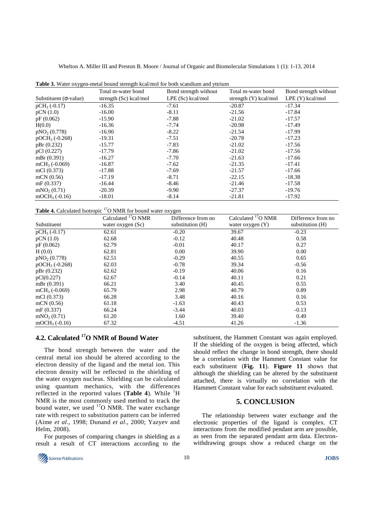|                                | Total m-water bond       | Bond strength without | Total m-water bond      | Bond strength without |
|--------------------------------|--------------------------|-----------------------|-------------------------|-----------------------|
| Substituent ( $\sigma$ -value) | strength $(Sc)$ kcal/mol | $LPE$ (Sc) kcal/mol   | strength $(Y)$ kcal/mol | $LPE(Y)$ kcal/mol     |
| $pCH_3(-0.17)$                 | $-16.35$                 | $-7.61$               | $-20.87$                | $-17.34$              |
| pCN(1.0)                       | $-16.00$                 | $-8.11$               | $-21.56$                | $-17.84$              |
| pF(0.062)                      | $-15.90$                 | $-7.88$               | $-21.02$                | $-17.57$              |
| H(0.0)                         | $-16.36$                 | $-7.74$               | $-20.98$                | $-17.49$              |
| pNO <sub>2</sub> (0.778)       | $-16.90$                 | $-8.22$               | $-21.54$                | $-17.99$              |
| $pOCH_3(.0.268)$               | $-19.31$                 | $-7.51$               | $-20.78$                | $-17.23$              |
| pBr(0.232)                     | $-15.77$                 | $-7.83$               | $-21.02$                | $-17.56$              |
| pCl (0.227)                    | $-17.79$                 | $-7.86$               | $-21.02$                | $-17.56$              |
| mBr(0.391)                     | $-16.27$                 | $-7.70$               | $-21.63$                | $-17.66$              |
| $mCH3 (-0.069)$                | $-16.87$                 | $-7.62$               | $-21.35$                | $-17.41$              |
| mCl $(0.373)$                  | $-17.88$                 | $-7.69$               | $-21.57$                | $-17.66$              |
| mCN (0.56)                     | $-17.19$                 | $-8.71$               | $-22.15$                | $-18.38$              |
| mF(0.337)                      | $-16.44$                 | $-8.46$               | $-21.46$                | $-17.58$              |
| mNO <sub>2</sub> (0.71)        | $-20.39$                 | $-9.90$               | $-27.37$                | $-19.76$              |
| mOCH <sub>3</sub> $(-0.16)$    | $-18.01$                 | $-8.14$               | $-21.81$                | $-17.92$              |

**Table 3.** Water oxygen-metal bound strength kcal/mol for both scandium and yttrium

**Table 4.** Calculated Isotropic <sup>17</sup>O NMR for bound water oxygen

| Substituent                 | Calculated $^{17}$ O NMR<br>water oxygen (Sc) | --- <i>,</i> .--<br>Difference from no<br>substitution (H) | Calculated $^{17}$ O NMR<br>water oxygen $(Y)$ | Difference from no<br>substitution (H) |
|-----------------------------|-----------------------------------------------|------------------------------------------------------------|------------------------------------------------|----------------------------------------|
| $pCH_3(-0.17)$              | 62.61                                         | $-0.20$                                                    | 39.67                                          | $-0.23$                                |
| pCN(1.0)                    | 62.68                                         | $-0.12$                                                    | 40.48                                          | 0.58                                   |
| pF(0.062)                   | 62.79                                         | $-0.01$                                                    | 40.17                                          | 0.27                                   |
| H(0.0)                      | 62.81                                         | 0.00                                                       | 39.90                                          | 0.00                                   |
| pNO <sub>2</sub> (0.778)    | 62.51                                         | $-0.29$                                                    | 40.55                                          | 0.65                                   |
| $pOCH_3(.0.268)$            | 62.03                                         | $-0.78$                                                    | 39.34                                          | $-0.56$                                |
| pBr(0.232)                  | 62.62                                         | $-0.19$                                                    | 40.06                                          | 0.16                                   |
| pCl(0.227)                  | 62.67                                         | $-0.14$                                                    | 40.11                                          | 0.21                                   |
| mBr(0.391)                  | 66.21                                         | 3.40                                                       | 40.45                                          | 0.55                                   |
| $mCH3 (-0.069)$             | 65.79                                         | 2.98                                                       | 40.79                                          | 0.89                                   |
| mCl $(0.373)$               | 66.28                                         | 3.48                                                       | 40.16                                          | 0.16                                   |
| mCN (0.56)                  | 61.18                                         | $-1.63$                                                    | 40.43                                          | 0.53                                   |
| mF(0.337)                   | 66.24                                         | $-3.44$                                                    | 40.03                                          | $-0.13$                                |
| mNO <sub>2</sub> (0.71)     | 61.20                                         | 1.60                                                       | 39.40                                          | 0.49                                   |
| mOCH <sub>3</sub> $(-0.16)$ | 67.32                                         | $-4.51$                                                    | 41.26                                          | $-1.36$                                |

# **4.2. Calculated <sup>17</sup>O NMR of Bound Water**

The bond strength between the water and the central metal ion should be altered according to the electron density of the ligand and the metal ion. This electron density will be reflected in the shielding of the water oxygen nucleus. Shielding can be calculated using quantum mechanics, with the differences reflected in the reported values (**Table 4**). While  ${}^{1}H$ NMR is the most commonly used method to track the bound water, we used  $^{17}$ O NMR. The water exchange rate with respect to substitution pattern can be inferred (Aime *et al*., 1998; Dunand *et al*., 2000; Yazyev and Helm, 2008).

For purposes of comparing changes in shielding as a result a result of CT interactions according to the substituent, the Hammett Constant was again employed. If the shielding of the oxygen is being affected, which should reflect the change in bond strength, there should be a correlation with the Hammett Constant value for each substituent (**Fig. 11**). **Figure 11** shows that although the shielding can be altered by the substituent attached, there is virtually no correlation with the Hammett Constant value for each substituent evaluated.

## **5. CONCLUSION**

The relationship between water exchange and the electronic properties of the ligand is complex. CT interactions from the modified pendant arm are possible, as seen from the separated pendant arm data. Electronwithdrawing groups show a reduced charge on the

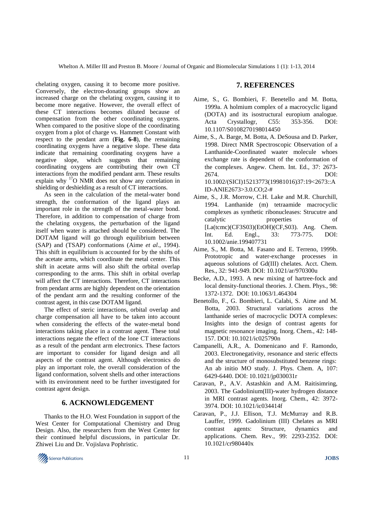chelating oxygen, causing it to become more positive. Conversely, the electron-donating groups show an increased charge on the chelating oxygen, causing it to become more negative. However, the overall effect of these CT interactions becomes diluted because of compensation from the other coordinating oxygens. When compared to the positive slope of the coordinating oxygen from a plot of charge vs. Hammett Constant with respect to the pendant arm (**Fig. 6-8**), the remaining coordinating oxygens have a negative slope. These data indicate that remaining coordinating oxygens have a negative slope, which suggests that remaining coordinating oxygens are contributing their own CT interactions from the modified pendant arm. These results explain why  $17$ O NMR does not show any correlation in shielding or deshielding as a result of CT interactions.

As seen in the calculation of the metal-water bond strength, the conformation of the ligand plays an important role in the strength of the metal-water bond. Therefore, in addition to compensation of charge from the chelating oxygens, the perturbation of the ligand itself when water is attached should be considered. The DOTAM ligand will go through equilibrium between (SAP) and (TSAP) conformations (Aime *et al*., 1994). This shift in equilibrium is accounted for by the shifts of the acetate arms, which coordinate the metal center. This shift in acetate arms will also shift the orbital overlap corresponding to the arms. This shift in orbital overlap will affect the CT interactions. Therefore, CT interactions from pendant arms are highly dependent on the orientation of the pendant arm and the resulting conformer of the contrast agent, in this case DOTAM ligand.

The effect of steric interactions, orbital overlap and charge compensation all have to be taken into account when considering the effects of the water-metal bond interactions taking place in a contrast agent. These total interactions negate the effect of the lone CT interactions as a result of the pendant arm electronics. These factors are important to consider for ligand design and all aspects of the contrast agent. Although electronics do play an important role, the overall consideration of the ligand conformation, solvent shells and other interactions with its environment need to be further investigated for contrast agent design.

## **6. ACKNOWLEDGEMENT**

Thanks to the H.O. West Foundation in support of the West Center for Computational Chemistry and Drug Design. Also, the researchers from the West Center for their continued helpful discussions, in particular Dr. Zhiwei Liu and Dr. Vojislava Pophristic.

## **7. REFERENCES**

- Aime, S., G. Bombieri, F. Benetello and M. Botta, 1999a. A holmium complex of a macrocyclic ligand (DOTA) and its isostructural europium analogue. Acta Crystallogr, C55: 353-356. DOI: 10.1107/S0108270198014450
- Aime, S., A. Barge, M. Botta, A. DeSousa and D. Parker, 1998. Direct NMR Spectroscopic Observation of a Lanthanide-Coordinated waater molecule whoes exchange rate is dependent of the conformation of the complexes. Angew. Chem. Int. Ed., 37: 2673- 2674. DOI: 10.1002/(SICI)15213773(19981016)37:19<2673::A

ID-ANIE2673>3.0.CO;2-# Aime, S., J.R. Morrow, C.H. Lake and M.R. Churchill,

- 1994. Lanthanide (m) tetraamide macrocyclic complexes as synthetic ribonucleases: Strucutre and catalytic properties of [La(tcmc)(CF3S03)(EtOH)(CF,S03). Ang. Chem. Int. Ed. Engl., 33: 773-775. DOI: 10.1002/anie.199407731
- Aime, S., M. Botta, M. Fasano and E. Terreno, 1999b. Prototropic and water-exchange processes in aqueous solutions of Gd(III) chelates. Acct. Chem. Res., 32: 941-949. DOI: 10.1021/ar/970300u
- Becke, A.D., 1993. A new mixing of hartree-fock and local density-functional theories. J. Chem. Phys., 98: 1372-1372. DOI: 10.1063/1.464304
- Benetollo, F., G. Bombieri, L. Calabi, S. Aime and M. Botta, 2003. Structural variations across the lanthanide series of macrocyclic DOTA complexes: Insights into the design of contrast agents for magnetic resonance imaging. Inorg. Chem., 42: 148- 157. DOI: 10.1021/ic025790n
- Campanelli, A.R., A. Domenicano and F. Ramondo, 2003. Electronegativity, resonance and steric effects and the structure of monosubstituted benzene rings: An ab initio MO study. J. Phys. Chem. A, 107: 6429-6440. DOI: 10.1021/jp030031r
- Caravan, P., A.V. Astashkin and A.M. Raitisimring, 2003. The Gadolinium(III)-water hydrogen distance in MRI contrast agents. Inorg. Chem., 42: 3972- 3974. DOI: 10.1021/ic034414f
- Caravan, P., J.J. Ellison, T.J. McMurray and R.B. Lauffer, 1999. Gadolinium (III) Chelates as MRI contrast agents: Structure, dynamics and applications. Chem. Rev., 99: 2293-2352. DOI: 10.1021/cr980440x

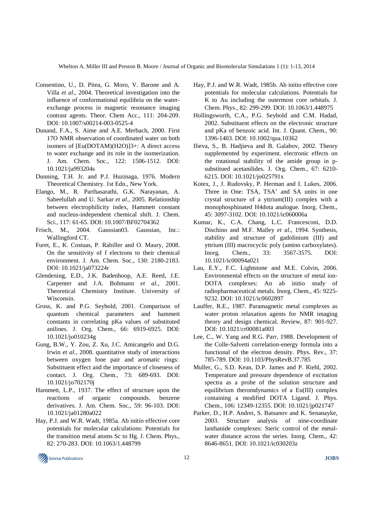- Consentino, U., D. Pitea, G. Moro, V. Barone and A. Villa *et al*., 2004. Theoretical investigation into the influence of conformational equilibria on the waterexchange process in magnetic resonance imaging contrast agents. Theor. Chem Acc., 111: 204-209. DOI: 10.1007/s00214-003-0525-4
- Dunand, F.A., S. Aime and A.E. Merbach, 2000. First 17O NMR observation of coordinated water on both isomers of [Eu(DOTAM)(H2O)]3+: A direct access to water exchange and its role in the isomerization. J. Am. Chem. Soc., 122: 1506-1512. DOI: 10.1021/ja993204s
- Dunning, T.H. Jr. and P.J. Huzinaga, 1976. Modern Theoretical Chemistry. 1st Edn., New York.
- Elango, M., R. Parthasarathi, G.K. Narayanan, A. Sabeelullah and U. Sarkar *et al*., 2005. Relationship between electrophilicity index, Hammett constant and nucleus-independent chemical shift. J. Chem. Sci., 117: 61-65. DOI: 10.1007/BF02704362
- Frisch, M., 2004. Gaussian03. Gaussian, Inc.: Wallingford CT.
- Furet, E., K. Costuas, P. Rabiller and O. Maury, 2008. On the sensitivity of f electrons to their chemical environment. J. Am. Chem. Soc., 130: 2180-2183. DOI: 10.1021/ja073224r
- Glendening, E.D., J.K. Badenhoop, A.E. Reed, J.E. Carpenter and J.A. Bohmann *et al*., 2001. Theoretical Chemistry Institute. University of Wisconsin.
- Gross, K. and P.G. Seybold, 2001. Comparison of quantum chemical parameters and hammett constants in correlating pKa values of substituted anilines. J. Org. Chem., 66: 6919-6925. DOI: 10.1021/jo010234g
- Gung, B.W., Y. Zou, Z. Xu, J.C. Amicangelo and D.G. Irwin *et al*., 2008. quantitative study of interactions between oxygen lone pair and aromatic rings: Substituent effect and the importance of closeness of contact. J. Org. Chem., 73: 689-693. DOI: 10.1021/jo702170j
- Hammett, L.P., 1937. The effect of structure upon the reactions of organic compounds. benzene derivatives. J. Am. Chem. Soc., 59: 96-103. DOI: 10.1021/ja01280a022
- Hay, P.J. and W.R. Wadt, 1985a. Ab initio effective core potentials for molecular calculations: Potentials for the transition metal atoms Sc to Hg. J. Chem. Phys., 82: 270-283. DOI: 10.1063/1.448799
- Hay, P.J. and W.R. Wadt, 1985b. Ab initio effective core potentials for molecular calculations. Potentials for K to Au including the outermost core orbitals. J. Chem. Phys., 82: 299-299. DOI: 10.1063/1.448975
- Hollingsworth, C.A., P.G. Seybold and C.M. Hadad, 2002. Substituent effects on the electronic structure and pKa of benzoic acid. Int. J. Quant. Chem., 90: 1396-1403. DOI: 10.1002/qua.10362
- Ilieva, S., B. Hadjieva and B. Galabov, 2002. Theory supplemented by experiment. electronic effects on the rotational stability of the amide group in psubstitued acetanilides. J. Org. Chem., 67: 6210- 6215. DOI: 10.1021/jo025791x
- Kotex, J., J. Rudovsky, P. Herman and I. Lukes, 2006. Three in One: TSA, TSA' and SA units in one crystal structure of a yttrium(III) complex with a monophosphinated H4dota analogue. Inorg. Chem., 45: 3097-3102. DOI: 10.1021/ic060006a
- Kumar, K., C.A. Chang, L.C. Francesconi, D.D. Dischino and M.F. Malley *et al*., 1994. Synthesis, stability and structure of gadolinium (III) and yttrium (III) macrocyclic poly (amino carboxylates). Inorg. Chem., 33: 3567-3575. DOI: 10.1021/ic00094a021
- Lau, E.Y., F.C. Lightstone and M.E. Colvin, 2006. Environmental effects on the structure of metal ion-DOTA complexes: An ab initio study of radiopharmaceutical metals. Inorg. Chem., 45: 9225- 9232. DOI: 10.1021/ic0602897
- Lauffer, R.E., 1987. Paramagnetic metal complexes as water proton relaxation agents for NMR imaging theory and design chemical. Review, 87: 901-927. DOI: 10.1021/cr00081a003
- Lee, C., W. Yang and R.G. Parr, 1988. Development of the Colle-Salvetti correlation-energy formula into a functional of the electron density. Phys. Rev., 37: 785-789. DOI: 10.1103/PhysRevB.37.785
- Muller, G., S.D. Kean, D.P. James and P. Riehl, 2002. Temperature and pressure dependence of excitation spectra as a probe of the solution structure and equilibrium theromdynamics of a Eu(III) complex containing a modified DOTA Ligand. J. Phys. Chem., 106: 12349-12355. DOI: 10.1021/jp021747
- Parker, D., H.P. Andrei, S. Batsanov and K. Senanayke, 2003. Structure analysis of nine-coordinate lanthanide complexes: Steric control of the metalwater distance across the series. Inorg. Chem., 42: 8646-8651. DOI: 10.1021/ic030203z